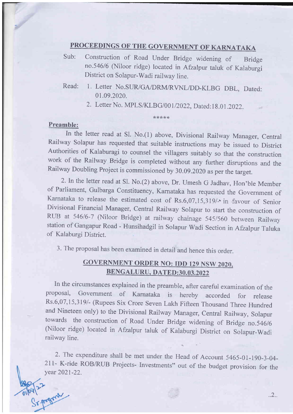## PROCEEDINGS OF THE GOVERNMENT OF KARNATAKA

- Sub: construction of Road Under Bridge widening of Bridge no.546/6 (Niloor ridge) located in Afzalpur taluk of Kalaburgi District on Solapur-Wadi railway line.
- Read: 1. Letter No.SUR/GA/DRM/RVNL/DD-KLBG DBL, Dated: 01.09.2020.
	- 2. Letter No. MPLS/KLBG/001/2022, Dated:18.01.2022.

\*\*?k\*?k

## Preamble:

9/2

In the letter read at S1. No.(l) above, Divisional Railway Manager, Central Railway Solapur has requested that suitable instructions may be issued to District Authorities of Kalaburagi to counsel the villagers suitably so that the construction work of the Railway Bridge is completed without any further disruptions and the Railway Doubling Project is commissioned by 30.09.2O2O as per the target.

2. In the letter read at Sl. No.(2) above, Dr. Umesh G Jadhav, Hon'ble Member of Parliament, Gulbarga Constituency, Karnataka has requested the Government of Karnataka to release the estimated cost of Rs.6,07,15,319/- in favour of Senior<br>Divisional Financial Manager, Central Railway Solapur to start the construction of RUB at 546/6-7 (Niloor Bridge) at railway chainage 545/560 between Railway station of Gangapur Road - Hunsihadgil in Solapur Wadi Section in Afzalpur Taluka of Kalaburgi District.

3. The proposal has been examined in detail and hence this order.

## **GOVERNMENT ORDER NO: IDD 129 NSW 2020,** BENGALURU, DATED:30.03.2022

In the circumstances explained in the preamble, after careful examination of the proposal, Government of Karnataka is hereby accorded for release Rs'6,07,15,319/- (Rupees Six Crore Seven Lakh Fifteen Thousand Three Hundred and Nineteen only) to the Divisional Railway Manager, Central Railway, Solapur towards the construction of Road Under Bridge widening of Bridge no.546/6 (Niloor ridge) located in Afzalpur taluk of Kalaburgi District on Solapur-Wadi railway line.

2. The expenditure shall be met under the Head of Account 5465-01-190-3-04-211- K-ride RoB/RUB Projects- Investments" out of the budget provision for the year 2021-22.